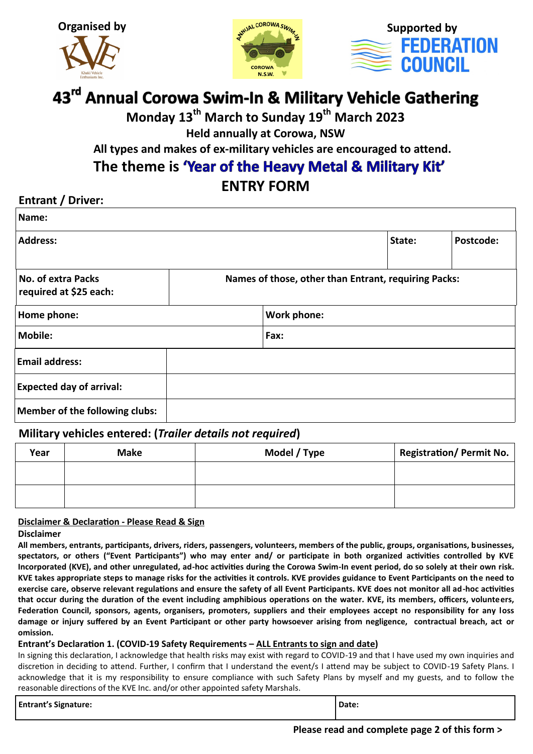





# 43<sup>rd</sup> Annual Corowa Swim-In & Military Vehicle Gathering

**Monday 13th March to Sunday 19th March 2023**

**Held annually at Corowa, NSW**

 **All types and makes of ex-military vehicles are encouraged to attend.**

The theme is **'Year of the Heavy Metal & Military Kit'** 

# **ENTRY FORM**

### **Entrant / Driver:**

| Name:                                               |  |                                                      |        |           |
|-----------------------------------------------------|--|------------------------------------------------------|--------|-----------|
| <b>Address:</b>                                     |  |                                                      | State: | Postcode: |
| <b>No. of extra Packs</b><br>required at \$25 each: |  | Names of those, other than Entrant, requiring Packs: |        |           |
| Home phone:                                         |  | <b>Work phone:</b>                                   |        |           |
| Mobile:<br>Fax:                                     |  |                                                      |        |           |
| <b>Email address:</b>                               |  |                                                      |        |           |
| <b>Expected day of arrival:</b>                     |  |                                                      |        |           |
| <b>Member of the following clubs:</b>               |  |                                                      |        |           |

### **Military vehicles entered: (***Trailer details not required***)**

| Year | <b>Make</b> | Model / Type | Registration/Permit No. $\vert$ |
|------|-------------|--------------|---------------------------------|
|      |             |              |                                 |
|      |             |              |                                 |

#### **Disclaimer & Declaration - Please Read & Sign**

#### **Disclaimer**

**All members, entrants, participants, drivers, riders, passengers, volunteers, members of the public, groups, organisations, businesses, spectators, or others ("Event Participants") who may enter and/ or participate in both organized activities controlled by KVE Incorporated (KVE), and other unregulated, ad-hoc activities during the Corowa Swim-In event period, do so solely at their own risk. KVE takes appropriate steps to manage risks for the activities it controls. KVE provides guidance to Event Participants on the need to exercise care, observe relevant regulations and ensure the safety of all Event Participants. KVE does not monitor all ad-hoc activities that occur during the duration of the event including amphibious operations on the water. KVE, its members, officers, volunteers, Federation Council, sponsors, agents, organisers, promoters, suppliers and their employees accept no responsibility for any loss damage or injury suffered by an Event Participant or other party howsoever arising from negligence, contractual breach, act or omission.**

#### **Entrant's Declaration 1. (COVID-19 Safety Requirements – ALL Entrants to sign and date)**

In signing this declaration, I acknowledge that health risks may exist with regard to COVID-19 and that I have used my own inquiries and discretion in deciding to attend. Further, I confirm that I understand the event/s I attend may be subject to COVID-19 Safety Plans. I acknowledge that it is my responsibility to ensure compliance with such Safety Plans by myself and my guests, and to follow the reasonable directions of the KVE Inc. and/or other appointed safety Marshals.

| <b>Entrant's Signature:</b> | Date: |
|-----------------------------|-------|
|                             |       |